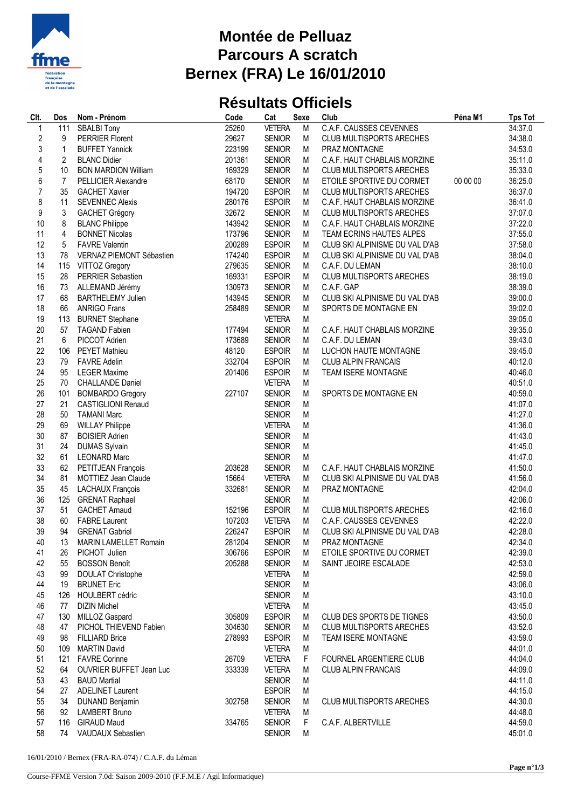

## **Montée de Pelluaz Parcours A scratch Bernex (FRA) Le 16/01/2010**

## **Résultats Officiels**

| Clt.             | Dos                     | Nom - Prénom                   | Code   | Cat           | <b>Sexe</b> | Club                            | Péna M1  | <b>Tps Tot</b> |
|------------------|-------------------------|--------------------------------|--------|---------------|-------------|---------------------------------|----------|----------------|
| $\mathbf{1}$     | 111                     | <b>SBALBI Tony</b>             | 25260  | <b>VETERA</b> | M           | <b>C.A.F. CAUSSES CEVENNES</b>  |          | 34:37.0        |
| $\sqrt{2}$       | 9                       | <b>PERRIER Florent</b>         | 29627  | <b>SENIOR</b> | M           | <b>CLUB MULTISPORTS ARECHES</b> |          | 34:38.0        |
| 3                | $\mathbf{1}$            | <b>BUFFET Yannick</b>          | 223199 | <b>SENIOR</b> | M           | PRAZ MONTAGNE                   |          | 34:53.0        |
| $\sqrt{4}$       | 2                       | <b>BLANC Didier</b>            | 201361 | <b>SENIOR</b> | М           | C.A.F. HAUT CHABLAIS MORZINE    |          | 35:11.0        |
| 5                | 10                      | <b>BON MARDION William</b>     | 169329 | <b>SENIOR</b> | М           | <b>CLUB MULTISPORTS ARECHES</b> |          | 35:33.0        |
| $\boldsymbol{6}$ | 7                       | PELLICIER Alexandre            | 68170  | <b>SENIOR</b> | M           | ETOILE SPORTIVE DU CORMET       | 00 00 00 | 36:25.0        |
| $\overline{7}$   | 35                      | <b>GACHET Xavier</b>           | 194720 | <b>ESPOIR</b> | M           | <b>CLUB MULTISPORTS ARECHES</b> |          | 36:37.0        |
| 8                | 11                      | <b>SEVENNEC Alexis</b>         | 280176 | <b>ESPOIR</b> | M           | C.A.F. HAUT CHABLAIS MORZINE    |          | 36:41.0        |
| 9                | 3                       | <b>GACHET Grégory</b>          | 32672  | <b>SENIOR</b> | М           | <b>CLUB MULTISPORTS ARECHES</b> |          | 37:07.0        |
| 10               | 8                       | <b>BLANC Philippe</b>          | 143942 | <b>SENIOR</b> | М           | C.A.F. HAUT CHABLAIS MORZINE    |          | 37:22.0        |
| 11               | $\overline{\mathbf{4}}$ | <b>BONNET Nicolas</b>          | 173796 | <b>SENIOR</b> | М           | TEAM ECRINS HAUTES ALPES        |          | 37:55.0        |
| 12               | 5                       | <b>FAVRE Valentin</b>          | 200289 | <b>ESPOIR</b> | М           | CLUB SKI ALPINISME DU VAL D'AB  |          | 37:58.0        |
| 13               | 78                      | VERNAZ PIEMONT Sébastien       | 174240 | <b>ESPOIR</b> | M           | CLUB SKI ALPINISME DU VAL D'AB  |          | 38:04.0        |
| 14               | 115                     | VITTOZ Gregory                 | 279635 | <b>SENIOR</b> | M           | C.A.F. DU LEMAN                 |          | 38:10.0        |
| 15               | 28                      | PERRIER Sebastien              | 169331 | <b>ESPOIR</b> | М           | CLUB MULTISPORTS ARECHES        |          | 38:19.0        |
| 16               | 73                      | ALLEMAND Jérémy                | 130973 | <b>SENIOR</b> | M           | C.A.F. GAP                      |          | 38:39.0        |
| 17               | 68                      | <b>BARTHELEMY Julien</b>       | 143945 | <b>SENIOR</b> | М           | CLUB SKI ALPINISME DU VAL D'AB  |          | 39:00.0        |
| 18               | 66                      | <b>ANRIGO Frans</b>            | 258489 | <b>SENIOR</b> | M           | SPORTS DE MONTAGNE EN           |          | 39:02.0        |
| 19               | 113                     | <b>BURNET Stephane</b>         |        | <b>VETERA</b> | M           |                                 |          | 39:05.0        |
| 20               | 57                      | <b>TAGAND Fabien</b>           | 177494 | <b>SENIOR</b> | M           | C.A.F. HAUT CHABLAIS MORZINE    |          | 39:35.0        |
| 21               | 6                       | PICCOT Adrien                  | 173689 | <b>SENIOR</b> | M           | C.A.F. DU LEMAN                 |          | 39:43.0        |
| 22               | 106                     | <b>PEYET Mathieu</b>           | 48120  | <b>ESPOIR</b> | М           | LUCHON HAUTE MONTAGNE           |          | 39:45.0        |
| 23               | 79                      | <b>FAVRE Adelin</b>            | 332704 | <b>ESPOIR</b> | М           | <b>CLUB ALPIN FRANCAIS</b>      |          | 40:12.0        |
| 24               | 95                      | <b>LEGER Maxime</b>            | 201406 | <b>ESPOIR</b> | M           | <b>TEAM ISERE MONTAGNE</b>      |          | 40:46.0        |
| 25               | 70                      | <b>CHALLANDE Daniel</b>        |        | <b>VETERA</b> | M           |                                 |          | 40:51.0        |
| 26               | 101                     | <b>BOMBARDO Gregory</b>        | 227107 | <b>SENIOR</b> | M           | SPORTS DE MONTAGNE EN           |          | 40:59.0        |
| 27               | 21                      | <b>CASTIGLIONI Renaud</b>      |        | <b>SENIOR</b> | M           |                                 |          | 41:07.0        |
| 28               | 50                      | <b>TAMANI Marc</b>             |        | <b>SENIOR</b> | M           |                                 |          | 41:27.0        |
| 29               | 69                      | <b>WILLAY Philippe</b>         |        | <b>VETERA</b> | M           |                                 |          | 41:36.0        |
| 30               | 87                      | <b>BOISIER Adrien</b>          |        | <b>SENIOR</b> | M           |                                 |          | 41:43.0        |
| 31               | 24                      | <b>DUMAS Sylvain</b>           |        | <b>SENIOR</b> | M           |                                 |          | 41:45.0        |
| 32               | 61                      | <b>LEONARD Marc</b>            |        | <b>SENIOR</b> | ${\sf M}$   |                                 |          | 41:47.0        |
| 33               | 62                      | PETITJEAN François             | 203628 | <b>SENIOR</b> | M           | C.A.F. HAUT CHABLAIS MORZINE    |          | 41:50.0        |
| 34               | 81                      | <b>MOTTIEZ Jean Claude</b>     | 15664  | <b>VETERA</b> | M           | CLUB SKI ALPINISME DU VAL D'AB  |          | 41:56.0        |
| 35               | 45                      | LACHAUX François               | 332681 | <b>SENIOR</b> | М           | PRAZ MONTAGNE                   |          | 42:04.0        |
| 36               | 125                     | <b>GRENAT Raphael</b>          |        | <b>SENIOR</b> | M           |                                 |          | 42:06.0        |
| 37               | 51                      | <b>GACHET Arnaud</b>           | 152196 | <b>ESPOIR</b> | М           | <b>CLUB MULTISPORTS ARECHES</b> |          | 42:16.0        |
| 38               | 60                      | <b>FABRE Laurent</b>           | 107203 | <b>VETERA</b> | M           | C.A.F. CAUSSES CEVENNES         |          | 42:22.0        |
| 39               | 94                      | <b>GRENAT Gabriel</b>          | 226247 | <b>ESPOIR</b> | M           | CLUB SKI ALPINISME DU VAL D'AB  |          | 42:28.0        |
| 40               |                         | 13 MARIN LAMELLET Romain       | 281204 | <b>SENIOR</b> | M           | PRAZ MONTAGNE                   |          | 42:34.0        |
| 41               | 26                      | PICHOT Julien                  | 306766 | <b>ESPOIR</b> | M           | ETOILE SPORTIVE DU CORMET       |          | 42:39.0        |
| 42               | 55                      | <b>BOSSON Benoît</b>           | 205288 | <b>SENIOR</b> | M           | SAINT JEOIRE ESCALADE           |          | 42:53.0        |
| 43               | 99                      | <b>DOULAT Christophe</b>       |        | <b>VETERA</b> | M           |                                 |          | 42:59.0        |
| 44               | 19                      | <b>BRUNET Eric</b>             |        | <b>SENIOR</b> | M           |                                 |          | 43:06.0        |
| 45               | 126                     | <b>HOULBERT cédric</b>         |        | <b>SENIOR</b> | M           |                                 |          | 43:10.0        |
| 46               | 77                      | <b>DIZIN Michel</b>            |        | <b>VETERA</b> | M           |                                 |          | 43:45.0        |
| 47               |                         | 130 MILLOZ Gaspard             | 305809 | <b>ESPOIR</b> | M           | CLUB DES SPORTS DE TIGNES       |          | 43:50.0        |
| 48               | 47                      | PICHOL THIEVEND Fabien         | 304630 | <b>SENIOR</b> | М           | <b>CLUB MULTISPORTS ARECHES</b> |          | 43:52.0        |
| 49               | 98                      | <b>FILLIARD Brice</b>          | 278993 | <b>ESPOIR</b> | M           | <b>TEAM ISERE MONTAGNE</b>      |          | 43:59.0        |
| 50               | 109                     | <b>MARTIN David</b>            |        | <b>VETERA</b> | M           |                                 |          | 44:01.0        |
| 51               | 121                     | <b>FAVRE Corinne</b>           | 26709  | <b>VETERA</b> | F           | FOURNEL ARGENTIERE CLUB         |          | 44:04.0        |
| 52               | 64                      | <b>OUVRIER BUFFET Jean Luc</b> | 333339 | <b>VETERA</b> | M           | <b>CLUB ALPIN FRANCAIS</b>      |          | 44:09.0        |
| 53               | 43                      | <b>BAUD Martial</b>            |        | <b>SENIOR</b> | M           |                                 |          | 44:11.0        |
| 54               | 27                      | <b>ADELINET Laurent</b>        |        | <b>ESPOIR</b> | M           |                                 |          | 44:15.0        |
| 55               | 34                      | <b>DUNAND Benjamin</b>         | 302758 | <b>SENIOR</b> | M           | <b>CLUB MULTISPORTS ARECHES</b> |          | 44:30.0        |
| 56               | 92                      | <b>LAMBERT Bruno</b>           |        | <b>VETERA</b> | M           |                                 |          | 44:48.0        |
| 57               | 116                     | <b>GIRAUD Maud</b>             | 334765 | <b>SENIOR</b> | F           | C.A.F. ALBERTVILLE              |          | 44:59.0        |
| 58               |                         | 74 VAUDAUX Sebastien           |        | <b>SENIOR</b> | M           |                                 |          | 45:01.0        |
|                  |                         |                                |        |               |             |                                 |          |                |

16/01/2010 / Bernex (FRA-RA-074) / C.A.F. du Léman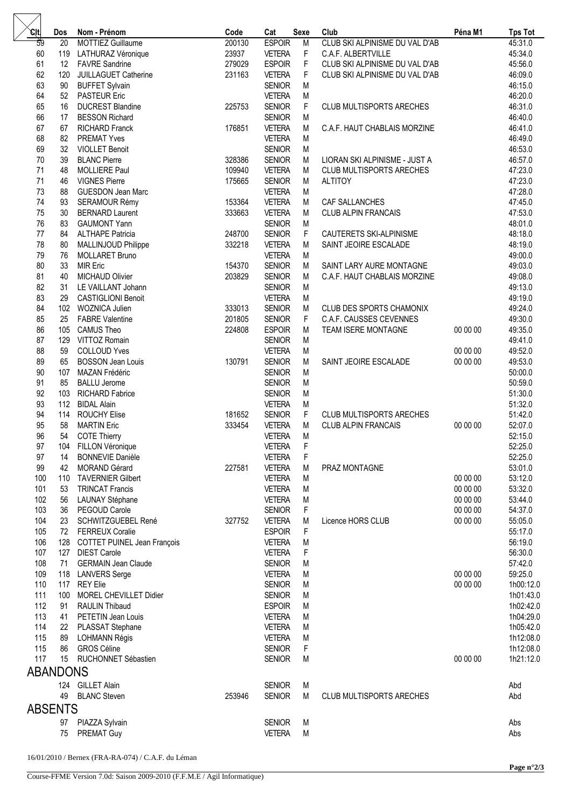| .cit            | Dos      | Nom - Prénom                                | Code             | Cat                            | <b>Sexe</b> | Club                                           | Péna M1  | <b>Tps Tot</b>     |  |
|-----------------|----------|---------------------------------------------|------------------|--------------------------------|-------------|------------------------------------------------|----------|--------------------|--|
| 59              | 20       | <b>MOTTIEZ Guillaume</b>                    | 200130           | <b>ESPOIR</b>                  | M           | CLUB SKI ALPINISME DU VAL D'AB                 |          | 45:31.0            |  |
| 60              | 119      | LATHURAZ Véronique                          | 23937            | <b>VETERA</b>                  | F           | C.A.F. ALBERTVILLE                             |          | 45:34.0            |  |
| 61              | 12       | <b>FAVRE</b> Sandrine                       | 279029           | <b>ESPOIR</b>                  | F           | CLUB SKI ALPINISME DU VAL D'AB                 |          | 45:56.0            |  |
| 62              | 120      | JUILLAGUET Catherine                        | 231163           | <b>VETERA</b>                  | F           | CLUB SKI ALPINISME DU VAL D'AB                 |          | 46:09.0            |  |
| 63              | 90       | <b>BUFFET Sylvain</b>                       |                  | <b>SENIOR</b>                  | M           |                                                |          | 46:15.0            |  |
| 64              | 52       | <b>PASTEUR Eric</b>                         |                  | <b>VETERA</b>                  | M           |                                                |          | 46:20.0            |  |
| 65              | 16       | <b>DUCREST Blandine</b>                     | 225753           | <b>SENIOR</b>                  | F           | <b>CLUB MULTISPORTS ARECHES</b>                |          | 46:31.0            |  |
| 66              | 17       | <b>BESSON Richard</b>                       |                  | <b>SENIOR</b>                  | M           |                                                |          | 46:40.0            |  |
| 67              | 67       | <b>RICHARD Franck</b>                       | 176851           | <b>VETERA</b>                  | М           | C.A.F. HAUT CHABLAIS MORZINE                   |          | 46:41.0            |  |
| 68              | 82       | <b>PREMAT Yves</b>                          |                  | <b>VETERA</b>                  | М           |                                                |          | 46:49.0            |  |
| 69              | 32       | <b>VIOLLET Benoit</b>                       |                  | <b>SENIOR</b>                  | M           |                                                |          | 46:53.0            |  |
| 70              | 39       | <b>BLANC Pierre</b>                         | 328386           | <b>SENIOR</b>                  | М           | LIORAN SKI ALPINISME - JUST A                  |          | 46:57.0            |  |
| 71              | 48       | MOLLIERE Paul                               | 109940           | <b>VETERA</b>                  | М           | <b>CLUB MULTISPORTS ARECHES</b>                |          | 47:23.0            |  |
| 71              | 46       | <b>VIGNES Pierre</b>                        | 175665           | <b>SENIOR</b>                  | М           | <b>ALTITOY</b>                                 |          | 47:23.0            |  |
| 73              | 88       | <b>GUESDON Jean Marc</b>                    |                  | <b>VETERA</b>                  | M           |                                                |          | 47:28.0            |  |
| 74              | 93       | SERAMOUR Rémy                               | 153364           | <b>VETERA</b>                  | М           | CAF SALLANCHES                                 |          | 47:45.0            |  |
| 75              | 30       | <b>BERNARD Laurent</b>                      | 333663           | <b>VETERA</b>                  | M           | <b>CLUB ALPIN FRANCAIS</b>                     |          | 47:53.0            |  |
| 76              | 83       | <b>GAUMONT Yann</b>                         |                  | <b>SENIOR</b>                  | М           |                                                |          | 48:01.0            |  |
| 77              | 84       | <b>ALTHAPE Patricia</b>                     | 248700           | <b>SENIOR</b>                  | F           | CAUTERETS SKI-ALPINISME                        |          | 48:18.0            |  |
| 78              | 80       | MALLINJOUD Philippe                         | 332218           | <b>VETERA</b>                  | M           | SAINT JEOIRE ESCALADE                          |          | 48:19.0            |  |
| 79              | 76       | <b>MOLLARET Bruno</b>                       |                  | <b>VETERA</b>                  | M           |                                                |          | 49:00.0            |  |
| 80              | 33       | <b>MIR Eric</b>                             | 154370           | <b>SENIOR</b>                  | М           | SAINT LARY AURE MONTAGNE                       |          | 49:03.0            |  |
| 81<br>82        | 40<br>31 | <b>MICHAUD Olivier</b>                      | 203829           | <b>SENIOR</b>                  | М           | C.A.F. HAUT CHABLAIS MORZINE                   |          | 49:08.0            |  |
|                 |          | LE VAILLANT Johann                          |                  | <b>SENIOR</b>                  | M           |                                                |          | 49:13.0            |  |
| 83<br>84        | 29       | <b>CASTIGLIONI Benoit</b>                   |                  | <b>VETERA</b>                  | M           |                                                |          | 49:19.0<br>49:24.0 |  |
| 85              | 25       | 102 WOZNICA Julien                          | 333013           | <b>SENIOR</b>                  | M           | <b>CLUB DES SPORTS CHAMONIX</b>                |          |                    |  |
| 86              | 105      | <b>FABRE Valentine</b><br><b>CAMUS Theo</b> | 201805<br>224808 | <b>SENIOR</b><br><b>ESPOIR</b> | F<br>М      | C.A.F. CAUSSES CEVENNES<br>TEAM ISERE MONTAGNE | 00 00 00 | 49:30.0<br>49:35.0 |  |
| 87              | 129      | VITTOZ Romain                               |                  | <b>SENIOR</b>                  | M           |                                                |          | 49:41.0            |  |
| 88              | 59       | <b>COLLOUD Yves</b>                         |                  | <b>VETERA</b>                  | М           |                                                | 00 00 00 | 49:52.0            |  |
| 89              | 65       | <b>BOSSON Jean Louis</b>                    | 130791           | <b>SENIOR</b>                  | М           | SAINT JEOIRE ESCALADE                          | 00 00 00 | 49:53.0            |  |
| 90              | 107      | MAZAN Frédéric                              |                  | <b>SENIOR</b>                  | M           |                                                |          | 50:00.0            |  |
| 91              | 85       | <b>BALLU Jerome</b>                         |                  | <b>SENIOR</b>                  | M           |                                                |          | 50:59.0            |  |
| 92              | 103      | <b>RICHARD Fabrice</b>                      |                  | <b>SENIOR</b>                  | M           |                                                |          | 51:30.0            |  |
| 93              | 112      | <b>BIDAL Alain</b>                          |                  | <b>VETERA</b>                  | М           |                                                |          | 51:32.0            |  |
| 94              | 114      | <b>ROUCHY Elise</b>                         | 181652           | <b>SENIOR</b>                  | F           | CLUB MULTISPORTS ARECHES                       |          | 51:42.0            |  |
| 95              | 58       | <b>MARTIN Eric</b>                          | 333454           | <b>VETERA</b>                  | М           | <b>CLUB ALPIN FRANCAIS</b>                     | 00 00 00 | 52:07.0            |  |
| 96              | 54       | <b>COTE Thierry</b>                         |                  | <b>VETERA</b>                  | M           |                                                |          | 52:15.0            |  |
| 97              |          | 104 FILLON Véronique                        |                  | <b>VETERA</b>                  | F           |                                                |          | 52:25.0            |  |
| 97              | 14       | <b>BONNEVIE Danièle</b>                     |                  | <b>VETERA</b>                  | $\mathsf F$ |                                                |          | 52:25.0            |  |
| 99              | 42       | <b>MORAND Gérard</b>                        | 227581           | <b>VETERA</b>                  | M           | PRAZ MONTAGNE                                  |          | 53:01.0            |  |
| 100             | 110      | <b>TAVERNIER Gilbert</b>                    |                  | <b>VETERA</b>                  | M           |                                                | 00 00 00 | 53:12.0            |  |
| 101             | 53       | <b>TRINCAT Francis</b>                      |                  | <b>VETERA</b>                  | M           |                                                | 00 00 00 | 53:32.0            |  |
| 102             | 56       | LAUNAY Stéphane                             |                  | <b>VETERA</b>                  | M           |                                                | 00 00 00 | 53:44.0            |  |
| 103             | 36       | PEGOUD Carole                               |                  | <b>SENIOR</b>                  | F           |                                                | 00 00 00 | 54:37.0            |  |
| 104             | 23       | SCHWITZGUEBEL René                          | 327752           | <b>VETERA</b>                  | M           | Licence HORS CLUB                              | 00 00 00 | 55:05.0            |  |
| 105             | 72       | <b>FERREUX Coralie</b>                      |                  | <b>ESPOIR</b>                  | $\mathsf F$ |                                                |          | 55:17.0            |  |
| 106             | 128      | COTTET PUINEL Jean François                 |                  | <b>VETERA</b>                  | M           |                                                |          | 56:19.0            |  |
| 107             | 127      | <b>DIEST Carole</b>                         |                  | <b>VETERA</b>                  | F           |                                                |          | 56:30.0            |  |
| 108             | 71       | <b>GERMAIN Jean Claude</b>                  |                  | <b>SENIOR</b>                  | M           |                                                |          | 57:42.0            |  |
| 109             | 118      | <b>LANVERS Serge</b>                        |                  | <b>VETERA</b>                  | M           |                                                | 00 00 00 | 59:25.0            |  |
| 110             | 117      | <b>REY Elie</b>                             |                  | <b>SENIOR</b>                  | M           |                                                | 00 00 00 | 1h00:12.0          |  |
| 111             | 100      | MOREL CHEVILLET Didier                      |                  | <b>SENIOR</b>                  | M           |                                                |          | 1h01:43.0          |  |
| 112             | 91       | <b>RAULIN Thibaud</b>                       |                  | <b>ESPOIR</b>                  | M           |                                                |          | 1h02:42.0          |  |
| 113             | 41       | PETETIN Jean Louis                          |                  | <b>VETERA</b>                  | M           |                                                |          | 1h04:29.0          |  |
| 114             | 22       | PLASSAT Stephane                            |                  | <b>VETERA</b>                  | M           |                                                |          | 1h05:42.0          |  |
| 115             | 89       | <b>LOHMANN Régis</b>                        |                  | <b>VETERA</b>                  | M           |                                                |          | 1h12:08.0          |  |
| 115             | 86       | <b>GROS Céline</b>                          |                  | <b>SENIOR</b>                  | F           |                                                |          | 1h12:08.0          |  |
| 117             | 15       | RUCHONNET Sébastien                         |                  | <b>SENIOR</b>                  | M           |                                                | 00 00 00 | 1h21:12.0          |  |
| <b>ABANDONS</b> |          |                                             |                  |                                |             |                                                |          |                    |  |
|                 |          | 124 GILLET Alain                            |                  | <b>SENIOR</b>                  | M           |                                                |          | Abd                |  |
|                 | 49       | <b>BLANC Steven</b>                         | 253946           | <b>SENIOR</b>                  | М           | <b>CLUB MULTISPORTS ARECHES</b>                |          | Abd                |  |
| <b>ABSENTS</b>  |          |                                             |                  |                                |             |                                                |          |                    |  |
|                 |          |                                             |                  |                                |             |                                                |          |                    |  |
|                 | 97       | PIAZZA Sylvain                              |                  | <b>SENIOR</b>                  | M           |                                                |          | Abs                |  |
|                 | 75       | PREMAT Guy                                  |                  | <b>VETERA</b>                  | M           |                                                |          | Abs                |  |

16/01/2010 / Bernex (FRA-RA-074) / C.A.F. du Léman

 $\triangleright$